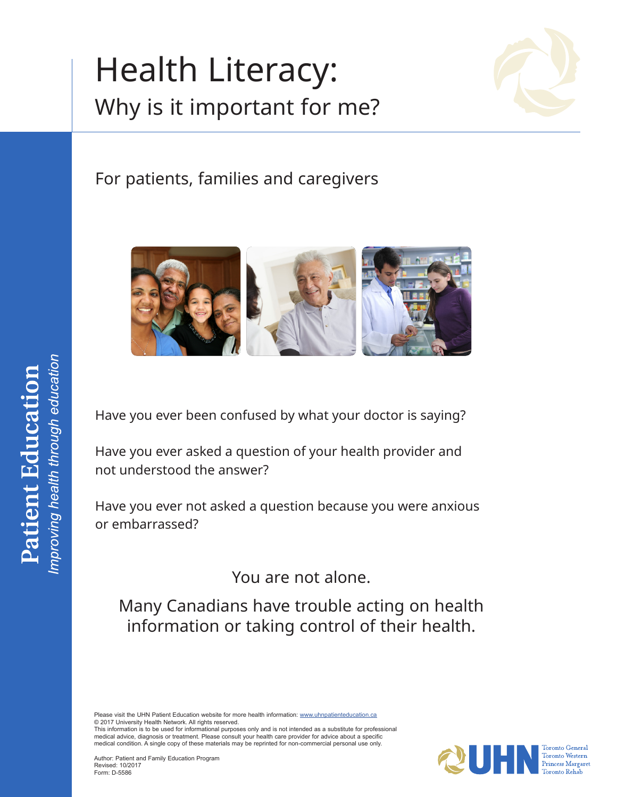# Health Literacy: Why is it important for me?



## For patients, families and caregivers



Have you ever been confused by what your doctor is saying?

Have you ever asked a question of your health provider and not understood the answer?

Have you ever not asked a question because you were anxious or embarrassed?

You are not alone.

Many Canadians have trouble acting on health information or taking control of their health.

Please visit the UHN Patient Education website for more health information: <www.uhnpatienteducation.ca> © 2017 University Health Network. All rights reserved.

This information is to be used for informational purposes only and is not intended as a substitute for professional medical advice, diagnosis or treatment. Please consult your health care provider for advice about a specific medical condition. A single copy of these materials may be reprinted for non-commercial personal use only.

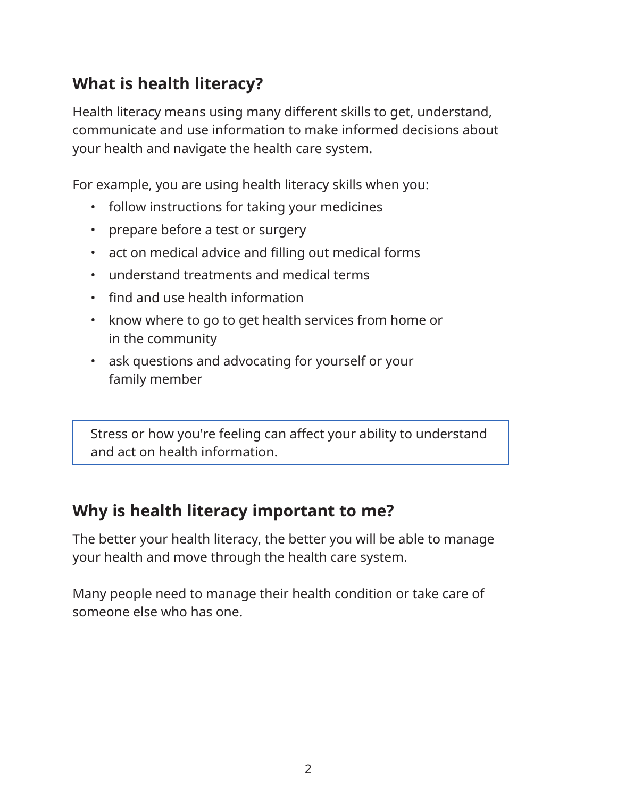## **What is health literacy?**

Health literacy means using many different skills to get, understand, communicate and use information to make informed decisions about your health and navigate the health care system.

For example, you are using health literacy skills when you:

- follow instructions for taking your medicines
- prepare before a test or surgery
- act on medical advice and filling out medical forms
- understand treatments and medical terms
- find and use health information
- know where to go to get health services from home or in the community
- ask questions and advocating for yourself or your family member

Stress or how you're feeling can affect your ability to understand and act on health information.

#### **Why is health literacy important to me?**

The better your health literacy, the better you will be able to manage your health and move through the health care system.

Many people need to manage their health condition or take care of someone else who has one.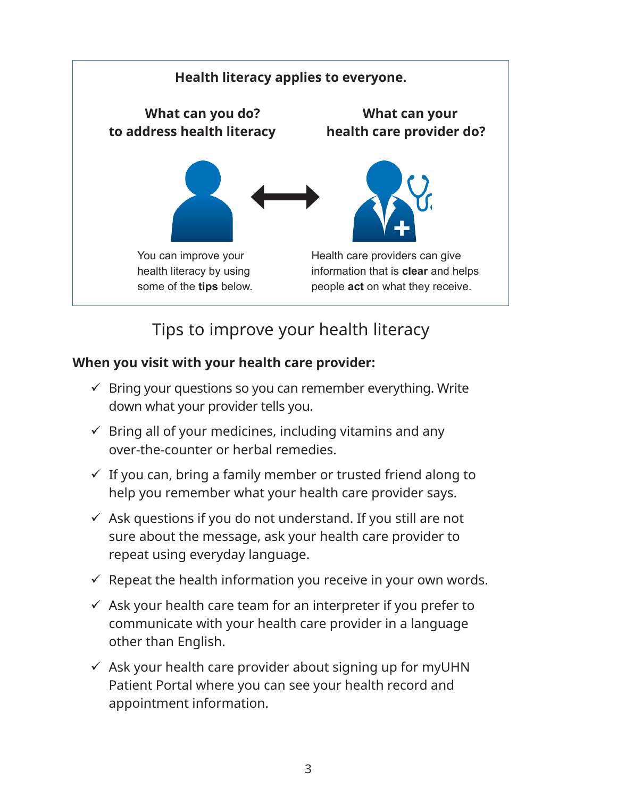

## Tips to improve your health literacy

#### **When you visit with your health care provider:**

- $\checkmark$  Bring your questions so you can remember everything. Write down what your provider tells you.
- $\checkmark$  Bring all of your medicines, including vitamins and any over-the-counter or herbal remedies.
- $\checkmark$  If you can, bring a family member or trusted friend along to help you remember what your health care provider says.
- $\checkmark$  Ask questions if you do not understand. If you still are not sure about the message, ask your health care provider to repeat using everyday language.
- $\checkmark$  Repeat the health information you receive in your own words.
- $\checkmark$  Ask your health care team for an interpreter if you prefer to communicate with your health care provider in a language other than English.
- $\checkmark$  Ask your health care provider about signing up for myUHN Patient Portal where you can see your health record and appointment information.